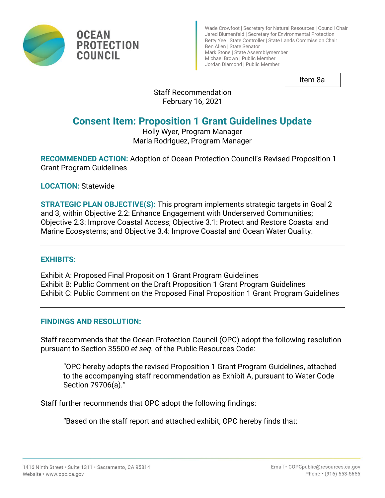

Wade Crowfoot | Secretary for Natural Resources | Council Chair Jared Blumenfeld | Secretary for Environmental Protection Betty Yee | State Controller | State Lands Commission Chair Ben Allen | State Senator Mark Stone | State Assemblymember Michael Brown | Public Member Jordan Diamond | Public Member

Item 8a

## Staff Recommendation February 16, 2021

# **Consent Item: Proposition 1 Grant Guidelines Update**

#### Holly Wyer, Program Manager Maria Rodriguez, Program Manager

**RECOMMENDED ACTION:** Adoption of Ocean Protection Council's Revised Proposition 1 Grant Program Guidelines

**LOCATION:** Statewide

**OCEAN** 

**COUNCIL** 

**PROTECTION** 

**STRATEGIC PLAN OBJECTIVE(S):** This program implements strategic targets in Goal 2 and 3, within Objective 2.2: Enhance Engagement with Underserved Communities; Objective 2.3: Improve Coastal Access; Objective 3.1: Protect and Restore Coastal and Marine Ecosystems; and Objective 3.4: Improve Coastal and Ocean Water Quality.

#### **EXHIBITS:**

Exhibit A: Proposed Final Proposition 1 Grant Program Guidelines Exhibit B: Public Comment on the Draft Proposition 1 Grant Program Guidelines Exhibit C: Public Comment on the Proposed Final Proposition 1 Grant Program Guidelines

#### **FINDINGS AND RESOLUTION:**

Staff recommends that the Ocean Protection Council (OPC) adopt the following resolution pursuant to Section 35500 *et seq.* of the Public Resources Code:

"OPC hereby adopts the revised Proposition 1 Grant Program Guidelines, attached to the accompanying staff recommendation as Exhibit A, pursuant to Water Code Section 79706(a)."

Staff further recommends that OPC adopt the following findings:

"Based on the staff report and attached exhibit, OPC hereby finds that: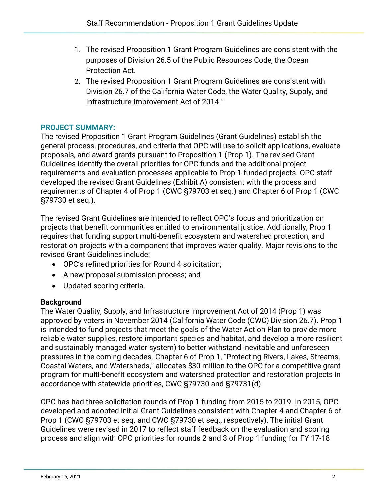- 1. The revised Proposition 1 Grant Program Guidelines are consistent with the purposes of Division 26.5 of the Public Resources Code, the Ocean Protection Act.
- 2. The revised Proposition 1 Grant Program Guidelines are consistent with Division 26.7 of the California Water Code, the Water Quality, Supply, and Infrastructure Improvement Act of 2014."

## **PROJECT SUMMARY:**

The revised Proposition 1 Grant Program Guidelines (Grant Guidelines) establish the general process, procedures, and criteria that OPC will use to solicit applications, evaluate proposals, and award grants pursuant to Proposition 1 (Prop 1). The revised Grant Guidelines identify the overall priorities for OPC funds and the additional project requirements and evaluation processes applicable to Prop 1-funded projects. OPC staff developed the revised Grant Guidelines (Exhibit A) consistent with the process and requirements of Chapter 4 of Prop 1 (CWC §79703 et seq.) and Chapter 6 of Prop 1 (CWC §79730 et seq.).

The revised Grant Guidelines are intended to reflect OPC's focus and prioritization on projects that benefit communities entitled to environmental justice. Additionally, Prop 1 requires that funding support multi-benefit ecosystem and watershed protection, and restoration projects with a component that improves water quality. Major revisions to the revised Grant Guidelines include:

- OPC's refined priorities for Round 4 solicitation;
- A new proposal submission process; and
- Updated scoring criteria.

#### **Background**

The Water Quality, Supply, and Infrastructure Improvement Act of 2014 (Prop 1) was approved by voters in November 2014 (California Water Code (CWC) Division 26.7). Prop 1 is intended to fund projects that meet the goals of the Water Action Plan to provide more reliable water supplies, restore important species and habitat, and develop a more resilient and sustainably managed water system) to better withstand inevitable and unforeseen pressures in the coming decades. Chapter 6 of Prop 1, "Protecting Rivers, Lakes, Streams, Coastal Waters, and Watersheds," allocates \$30 million to the OPC for a competitive grant program for multi-benefit ecosystem and watershed protection and restoration projects in accordance with statewide priorities, CWC §79730 and §79731(d).

OPC has had three solicitation rounds of Prop 1 funding from 2015 to 2019. In 2015, OPC developed and adopted initial Grant Guidelines consistent with Chapter 4 and Chapter 6 of Prop 1 (CWC §79703 et seq. and CWC §79730 et seq., respectively). The initial Grant Guidelines were revised in 2017 to reflect staff feedback on the evaluation and scoring process and align with OPC priorities for rounds 2 and 3 of Prop 1 funding for FY 17-18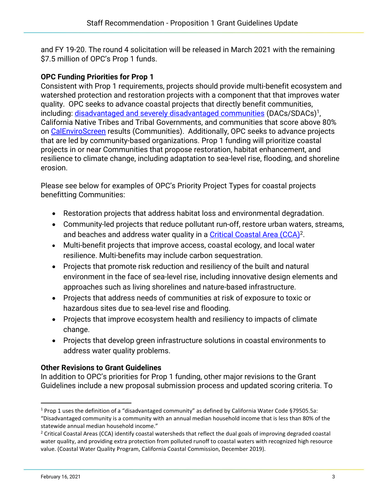and FY 19-20. The round 4 solicitation will be released in March 2021 with the remaining \$7.5 million of OPC's Prop 1 funds.

### **OPC Funding Priorities for Prop 1**

Consistent with Prop 1 requirements, projects should provide multi-benefit ecosystem and watershed protection and restoration projects with a component that that improves water quality. OPC seeks to advance coastal projects that directly benefit communities, including: [disadvantaged and severely disadvantaged communities](https://www.parksforcalifornia.org/communities/?overlays=parks) (DACs/SDACs)<sup>1</sup>, California Native Tribes and Tribal Governments, and communities that score above 80% on [CalEnviroScreen](https://oehha.ca.gov/calenviroscreen/report/calenviroscreen-30) results (Communities). Additionally, OPC seeks to advance projects that are led by community-based organizations. Prop 1 funding will prioritize coastal projects in or near Communities that propose restoration, habitat enhancement, and resilience to climate change, including adaptation to sea-level rise, flooding, and shoreline erosion.

Please see below for examples of OPC's Priority Project Types for coastal projects benefitting Communities:

- Restoration projects that address habitat loss and environmental degradation.
- Community-led projects that reduce pollutant run-off, restore urban waters, streams, and beaches and address water quality in a [Critical Coastal Area \(CCA\)](https://documents.coastal.ca.gov/assets/water-quality/critical-coastal-areas/Find%20a%20Critical%20Coastal%20Area%20by%20Name%2012-18-19.pdf)<sup>2</sup>.
- Multi-benefit projects that improve access, coastal ecology, and local water resilience. Multi-benefits may include carbon sequestration.
- Projects that promote risk reduction and resiliency of the built and natural environment in the face of sea-level rise, including innovative design elements and approaches such as living shorelines and nature-based infrastructure.
- Projects that address needs of communities at risk of exposure to toxic or hazardous sites due to sea-level rise and flooding.
- Projects that improve ecosystem health and resiliency to impacts of climate change.
- Projects that develop green infrastructure solutions in coastal environments to address water quality problems.

#### **Other Revisions to Grant Guidelines**

In addition to OPC's priorities for Prop 1 funding, other major revisions to the Grant Guidelines include a new proposal submission process and updated scoring criteria. To

<sup>1</sup> Prop 1 uses the definition of a "disadvantaged community" as defined by California Water Code §79505.5a: "Disadvantaged community is a community with an annual median household income that is less than 80% of the statewide annual median household income."

 $2$  Critical Coastal Areas (CCA) identify coastal watersheds that reflect the dual goals of improving degraded coastal water quality, and providing extra protection from polluted runoff to coastal waters with recognized high resource value. (Coastal Water Quality Program, California Coastal Commission, December 2019).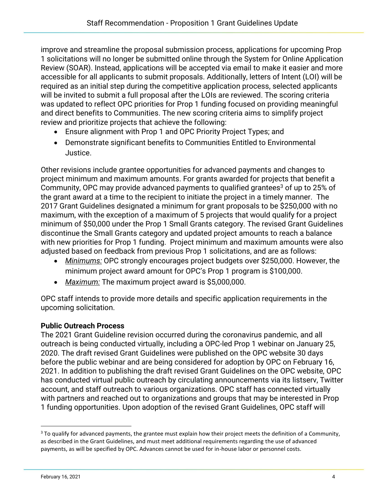improve and streamline the proposal submission process, applications for upcoming Prop 1 solicitations will no longer be submitted online through the System for Online Application Review (SOAR). Instead, applications will be accepted via email to make it easier and more accessible for all applicants to submit proposals. Additionally, letters of Intent (LOI) will be required as an initial step during the competitive application process, selected applicants will be invited to submit a full proposal after the LOIs are reviewed. The scoring criteria was updated to reflect OPC priorities for Prop 1 funding focused on providing meaningful and direct benefits to Communities. The new scoring criteria aims to simplify project review and prioritize projects that achieve the following:

- Ensure alignment with Prop 1 and OPC Priority Project Types; and
- Demonstrate significant benefits to Communities Entitled to Environmental Justice.

Other revisions include grantee opportunities for advanced payments and changes to project minimum and maximum amounts. For grants awarded for projects that benefit a Community, OPC may provide advanced payments to qualified grantees<sup>3</sup> of up to 25% of the grant award at a time to the recipient to initiate the project in a timely manner. The 2017 Grant Guidelines designated a minimum for grant proposals to be \$250,000 with no maximum, with the exception of a maximum of 5 projects that would qualify for a project minimum of \$50,000 under the Prop 1 Small Grants category. The revised Grant Guidelines discontinue the Small Grants category and updated project amounts to reach a balance with new priorities for Prop 1 funding. Project minimum and maximum amounts were also adjusted based on feedback from previous Prop 1 solicitations, and are as follows:

- *Minimums:* OPC strongly encourages project budgets over \$250,000. However, the minimum project award amount for OPC's Prop 1 program is \$100,000.
- *Maximum:* The maximum project award is \$5,000,000.

OPC staff intends to provide more details and specific application requirements in the upcoming solicitation.

#### **Public Outreach Process**

The 2021 Grant Guideline revision occurred during the coronavirus pandemic, and all outreach is being conducted virtually, including a OPC-led Prop 1 webinar on January 25, 2020. The draft revised Grant Guidelines were published on the OPC website 30 days before the public webinar and are being considered for adoption by OPC on February 16, 2021. In addition to publishing the draft revised Grant Guidelines on the OPC website, OPC has conducted virtual public outreach by circulating announcements via its listserv, Twitter account, and staff outreach to various organizations. OPC staff has connected virtually with partners and reached out to organizations and groups that may be interested in Prop 1 funding opportunities. Upon adoption of the revised Grant Guidelines, OPC staff will

<sup>&</sup>lt;sup>3</sup> To qualify for advanced payments, the grantee must explain how their project meets the definition of a Community, as described in the Grant Guidelines, and must meet additional requirements regarding the use of advanced payments, as will be specified by OPC. Advances cannot be used for in-house labor or personnel costs.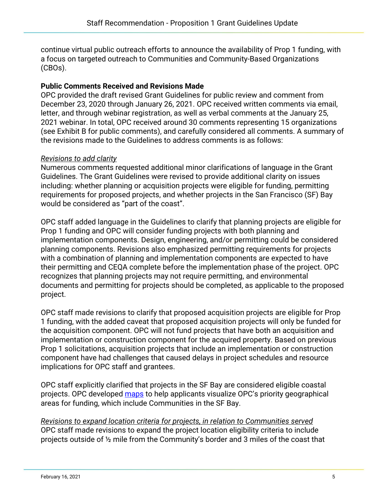continue virtual public outreach efforts to announce the availability of Prop 1 funding, with a focus on targeted outreach to Communities and Community-Based Organizations (CBOs).

#### **Public Comments Received and Revisions Made**

OPC provided the draft revised Grant Guidelines for public review and comment from December 23, 2020 through January 26, 2021. OPC received written comments via email, letter, and through webinar registration, as well as verbal comments at the January 25, 2021 webinar. In total, OPC received around 30 comments representing 15 organizations (see Exhibit B for public comments), and carefully considered all comments. A summary of the revisions made to the Guidelines to address comments is as follows:

#### *Revisions to add clarity*

Numerous comments requested additional minor clarifications of language in the Grant Guidelines. The Grant Guidelines were revised to provide additional clarity on issues including: whether planning or acquisition projects were eligible for funding, permitting requirements for proposed projects, and whether projects in the San Francisco (SF) Bay would be considered as "part of the coast".

OPC staff added language in the Guidelines to clarify that planning projects are eligible for Prop 1 funding and OPC will consider funding projects with both planning and implementation components. Design, engineering, and/or permitting could be considered planning components. Revisions also emphasized permitting requirements for projects with a combination of planning and implementation components are expected to have their permitting and CEQA complete before the implementation phase of the project. OPC recognizes that planning projects may not require permitting, and environmental documents and permitting for projects should be completed, as applicable to the proposed project.

OPC staff made revisions to clarify that proposed acquisition projects are eligible for Prop 1 funding, with the added caveat that proposed acquisition projects will only be funded for the acquisition component. OPC will not fund projects that have both an acquisition and implementation or construction component for the acquired property. Based on previous Prop 1 solicitations, acquisition projects that include an implementation or construction component have had challenges that caused delays in project schedules and resource implications for OPC staff and grantees.

OPC staff explicitly clarified that projects in the SF Bay are considered eligible coastal projects. OPC developed [maps](https://www.opc.ca.gov/prop1/) to help applicants visualize OPC's priority geographical areas for funding, which include Communities in the SF Bay.

*Revisions to expand location criteria for projects, in relation to Communities served* OPC staff made revisions to expand the project location eligibility criteria to include projects outside of ½ mile from the Community's border and 3 miles of the coast that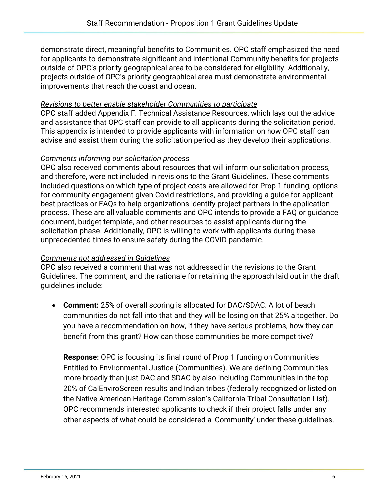demonstrate direct, meaningful benefits to Communities. OPC staff emphasized the need for applicants to demonstrate significant and intentional Community benefits for projects outside of OPC's priority geographical area to be considered for eligibility. Additionally, projects outside of OPC's priority geographical area must demonstrate environmental improvements that reach the coast and ocean.

#### *Revisions to better enable stakeholder Communities to participate*

OPC staff added Appendix F: Technical Assistance Resources, which lays out the advice and assistance that OPC staff can provide to all applicants during the solicitation period. This appendix is intended to provide applicants with information on how OPC staff can advise and assist them during the solicitation period as they develop their applications.

#### *Comments informing our solicitation process*

OPC also received comments about resources that will inform our solicitation process, and therefore, were not included in revisions to the Grant Guidelines. These comments included questions on which type of project costs are allowed for Prop 1 funding, options for community engagement given Covid restrictions, and providing a guide for applicant best practices or FAQs to help organizations identify project partners in the application process. These are all valuable comments and OPC intends to provide a FAQ or guidance document, budget template, and other resources to assist applicants during the solicitation phase. Additionally, OPC is willing to work with applicants during these unprecedented times to ensure safety during the COVID pandemic.

#### *Comments not addressed in Guidelines*

OPC also received a comment that was not addressed in the revisions to the Grant Guidelines. The comment, and the rationale for retaining the approach laid out in the draft guidelines include:

• **Comment:** 25% of overall scoring is allocated for DAC/SDAC. A lot of beach communities do not fall into that and they will be losing on that 25% altogether. Do you have a recommendation on how, if they have serious problems, how they can benefit from this grant? How can those communities be more competitive?

**Response:** OPC is focusing its final round of Prop 1 funding on Communities Entitled to Environmental Justice (Communities). We are defining Communities more broadly than just DAC and SDAC by also including Communities in the top 20% of CalEnviroScreen results and Indian tribes (federally recognized or listed on the Native American Heritage Commission's California Tribal Consultation List). OPC recommends interested applicants to check if their project falls under any other aspects of what could be considered a 'Community' under these guidelines.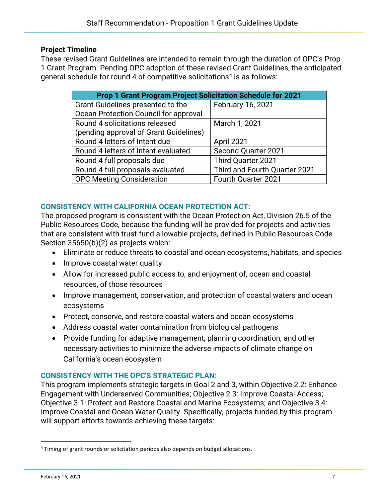#### **Project Timeline**

These revised Grant Guidelines are intended to remain through the duration of OPC's Prop 1 Grant Program. Pending OPC adoption of these revised Grant Guidelines, the anticipated general schedule for round 4 of competitive solicitations<sup>4</sup> is as follows:

| <b>Prop 1 Grant Program Project Solicitation Schedule for 2021</b> |                               |
|--------------------------------------------------------------------|-------------------------------|
| Grant Guidelines presented to the                                  | February 16, 2021             |
| Ocean Protection Council for approval                              |                               |
| Round 4 solicitations released                                     | March 1, 2021                 |
| (pending approval of Grant Guidelines)                             |                               |
| Round 4 letters of Intent due                                      | April 2021                    |
| Round 4 letters of Intent evaluated                                | <b>Second Quarter 2021</b>    |
| Round 4 full proposals due                                         | Third Quarter 2021            |
| Round 4 full proposals evaluated                                   | Third and Fourth Quarter 2021 |
| <b>OPC Meeting Consideration</b>                                   | Fourth Quarter 2021           |

## **CONSISTENCY WITH CALIFORNIA OCEAN PROTECTION ACT:**

The proposed program is consistent with the Ocean Protection Act, Division 26.5 of the Public Resources Code, because the funding will be provided for projects and activities that are consistent with trust-fund allowable projects, defined in Public Resources Code Section 35650(b)(2) as projects which:

- Eliminate or reduce threats to coastal and ocean ecosystems, habitats, and species
- Improve coastal water quality
- Allow for increased public access to, and enjoyment of, ocean and coastal resources, of those resources
- Improve management, conservation, and protection of coastal waters and ocean ecosystems
- Protect, conserve, and restore coastal waters and ocean ecosystems
- Address coastal water contamination from biological pathogens
- Provide funding for adaptive management, planning coordination, and other necessary activities to minimize the adverse impacts of climate change on California's ocean ecosystem

#### **CONSISTENCY WITH THE OPC'S STRATEGIC PLAN:**

This program implements strategic targets in Goal 2 and 3, within Objective 2.2: Enhance Engagement with Underserved Communities; Objective 2.3: Improve Coastal Access; Objective 3.1: Protect and Restore Coastal and Marine Ecosystems; and Objective 3.4: Improve Coastal and Ocean Water Quality. Specifically, projects funded by this program will support efforts towards achieving these targets:

<sup>&</sup>lt;sup>4</sup> Timing of grant rounds or solicitation periods also depends on budget allocations.